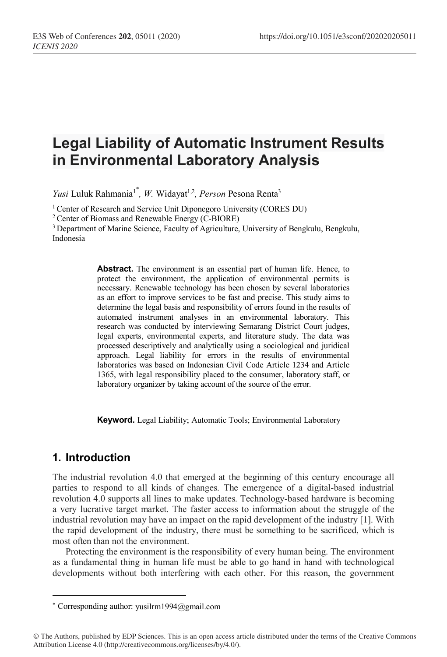# **Legal Liability of Automatic Instrument Results in Environmental Laboratory Analysis**

Yusi Luluk Rahmania<sup>1\*</sup>, W. Widayat<sup>1,2</sup>, Person Pesona Renta<sup>3</sup>

<sup>1</sup> Center of Research and Service Unit Diponegoro University (CORES DU)

2 Center of Biomass and Renewable Energy (C-BIORE)

<sup>3</sup> Department of Marine Science, Faculty of Agriculture, University of Bengkulu, Bengkulu, Indonesia

> Abstract. The environment is an essential part of human life. Hence, to protect the environment, the application of environmental permits is necessary. Renewable technology has been chosen by several laboratories as an effort to improve services to be fast and precise. This study aims to determine the legal basis and responsibility of errors found in the results of automated instrument analyses in an environmental laboratory. This research was conducted by interviewing Semarang District Court judges, legal experts, environmental experts, and literature study. The data was processed descriptively and analytically using a sociological and juridical approach. Legal liability for errors in the results of environmental laboratories was based on Indonesian Civil Code Article 1234 and Article 1365, with legal responsibility placed to the consumer, laboratory staff, or laboratory organizer by taking account of the source of the error.

**Keyword.** Legal Liability; Automatic Tools; Environmental Laboratory

## **1. Introduction**

 $\overline{a}$ 

The industrial revolution 4.0 that emerged at the beginning of this century encourage all parties to respond to all kinds of changes. The emergence of a digital-based industrial revolution 4.0 supports all lines to make updates. Technology-based hardware is becoming a very lucrative target market. The faster access to information about the struggle of the industrial revolution may have an impact on the rapid development of the industry [1]. With the rapid development of the industry, there must be something to be sacrificed, which is most often than not the environment.

Protecting the environment is the responsibility of every human being. The environment as a fundamental thing in human life must be able to go hand in hand with technological developments without both interfering with each other. For this reason, the government

<sup>\*</sup> Corresponding author: yusilrm1994@gmail.com

<sup>©</sup> The Authors, published by EDP Sciences. This is an open access article distributed under the terms of the Creative Commons Attribution License 4.0 (http://creativecommons.org/licenses/by/4.0/).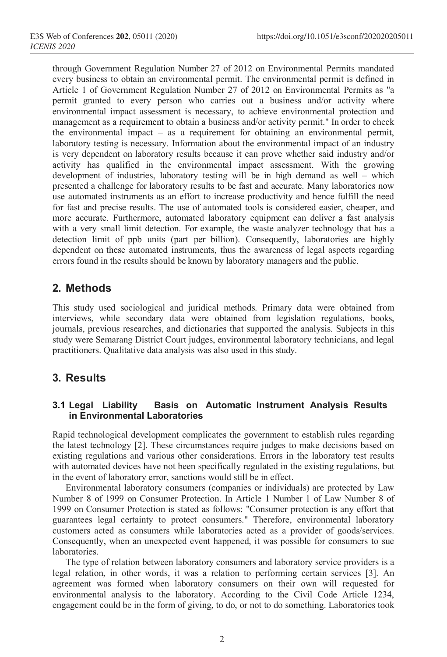through Government Regulation Number 27 of 2012 on Environmental Permits mandated every business to obtain an environmental permit. The environmental permit is defined in Article 1 of Government Regulation Number 27 of 2012 on Environmental Permits as "a permit granted to every person who carries out a business and/or activity where environmental impact assessment is necessary, to achieve environmental protection and management as a requirement to obtain a business and/or activity permit." In order to check the environmental impact – as a requirement for obtaining an environmental permit, laboratory testing is necessary. Information about the environmental impact of an industry is very dependent on laboratory results because it can prove whether said industry and/or activity has qualified in the environmental impact assessment. With the growing development of industries, laboratory testing will be in high demand as well – which presented a challenge for laboratory results to be fast and accurate. Many laboratories now use automated instruments as an effort to increase productivity and hence fulfill the need for fast and precise results. The use of automated tools is considered easier, cheaper, and more accurate. Furthermore, automated laboratory equipment can deliver a fast analysis with a very small limit detection. For example, the waste analyzer technology that has a detection limit of ppb units (part per billion). Consequently, laboratories are highly dependent on these automated instruments, thus the awareness of legal aspects regarding errors found in the results should be known by laboratory managers and the public.

## **2. Methods**

This study used sociological and juridical methods. Primary data were obtained from interviews, while secondary data were obtained from legislation regulations, books, journals, previous researches, and dictionaries that supported the analysis. Subjects in this study were Semarang District Court judges, environmental laboratory technicians, and legal practitioners. Qualitative data analysis was also used in this study.

## **3. Results**

### **3.1 Legal Liability Basis on Automatic Instrument Analysis Results in Environmental Laboratories**

Rapid technological development complicates the government to establish rules regarding the latest technology [2]. These circumstances require judges to make decisions based on existing regulations and various other considerations. Errors in the laboratory test results with automated devices have not been specifically regulated in the existing regulations, but in the event of laboratory error, sanctions would still be in effect.

Environmental laboratory consumers (companies or individuals) are protected by Law Number 8 of 1999 on Consumer Protection. In Article 1 Number 1 of Law Number 8 of 1999 on Consumer Protection is stated as follows: "Consumer protection is any effort that guarantees legal certainty to protect consumers." Therefore, environmental laboratory customers acted as consumers while laboratories acted as a provider of goods/services. Consequently, when an unexpected event happened, it was possible for consumers to sue laboratories.

The type of relation between laboratory consumers and laboratory service providers is a legal relation, in other words, it was a relation to performing certain services [3]. An agreement was formed when laboratory consumers on their own will requested for environmental analysis to the laboratory. According to the Civil Code Article 1234, engagement could be in the form of giving, to do, or not to do something. Laboratories took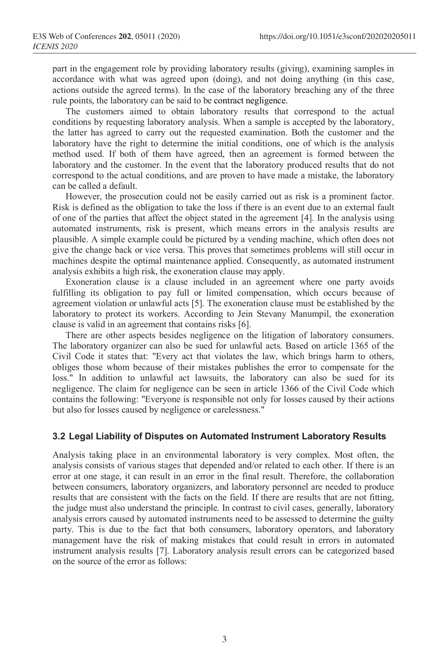part in the engagement role by providing laboratory results (giving), examining samples in accordance with what was agreed upon (doing), and not doing anything (in this case, actions outside the agreed terms). In the case of the laboratory breaching any of the three rule points, the laboratory can be said to be contract negligence.

The customers aimed to obtain laboratory results that correspond to the actual conditions by requesting laboratory analysis. When a sample is accepted by the laboratory, the latter has agreed to carry out the requested examination. Both the customer and the laboratory have the right to determine the initial conditions, one of which is the analysis method used. If both of them have agreed, then an agreement is formed between the laboratory and the customer. In the event that the laboratory produced results that do not correspond to the actual conditions, and are proven to have made a mistake, the laboratory can be called a default.

However, the prosecution could not be easily carried out as risk is a prominent factor. Risk is defined as the obligation to take the loss if there is an event due to an external fault of one of the parties that affect the object stated in the agreement [4]. In the analysis using automated instruments, risk is present, which means errors in the analysis results are plausible. A simple example could be pictured by a vending machine, which often does not give the change back or vice versa. This proves that sometimes problems will still occur in machines despite the optimal maintenance applied. Consequently, as automated instrument analysis exhibits a high risk, the exoneration clause may apply.

Exoneration clause is a clause included in an agreement where one party avoids fulfilling its obligation to pay full or limited compensation, which occurs because of agreement violation or unlawful acts [5]. The exoneration clause must be established by the laboratory to protect its workers. According to Jein Stevany Manumpil, the exoneration clause is valid in an agreement that contains risks [6].

There are other aspects besides negligence on the litigation of laboratory consumers. The laboratory organizer can also be sued for unlawful acts. Based on article 1365 of the Civil Code it states that: "Every act that violates the law, which brings harm to others, obliges those whom because of their mistakes publishes the error to compensate for the loss." In addition to unlawful act lawsuits, the laboratory can also be sued for its negligence. The claim for negligence can be seen in article 1366 of the Civil Code which contains the following: "Everyone is responsible not only for losses caused by their actions but also for losses caused by negligence or carelessness."

#### **3.2 Legal Liability of Disputes on Automated Instrument Laboratory Results**

Analysis taking place in an environmental laboratory is very complex. Most often, the analysis consists of various stages that depended and/or related to each other. If there is an error at one stage, it can result in an error in the final result. Therefore, the collaboration between consumers, laboratory organizers, and laboratory personnel are needed to produce results that are consistent with the facts on the field. If there are results that are not fitting, the judge must also understand the principle. In contrast to civil cases, generally, laboratory analysis errors caused by automated instruments need to be assessed to determine the guilty party. This is due to the fact that both consumers, laboratory operators, and laboratory management have the risk of making mistakes that could result in errors in automated instrument analysis results [7]. Laboratory analysis result errors can be categorized based on the source of the error as follows: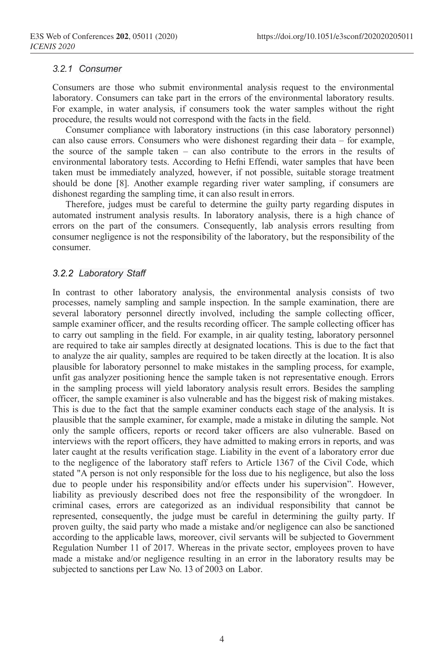#### *3.2.1 Consumer*

Consumers are those who submit environmental analysis request to the environmental laboratory. Consumers can take part in the errors of the environmental laboratory results. For example, in water analysis, if consumers took the water samples without the right procedure, the results would not correspond with the facts in the field.

Consumer compliance with laboratory instructions (in this case laboratory personnel) can also cause errors. Consumers who were dishonest regarding their data – for example, the source of the sample taken – can also contribute to the errors in the results of environmental laboratory tests. According to Hefni Effendi, water samples that have been taken must be immediately analyzed, however, if not possible, suitable storage treatment should be done [8]. Another example regarding river water sampling, if consumers are dishonest regarding the sampling time, it can also result in errors.

Therefore, judges must be careful to determine the guilty party regarding disputes in automated instrument analysis results. In laboratory analysis, there is a high chance of errors on the part of the consumers. Consequently, lab analysis errors resulting from consumer negligence is not the responsibility of the laboratory, but the responsibility of the consumer.

#### *3.2.2 Laboratory Staff*

In contrast to other laboratory analysis, the environmental analysis consists of two processes, namely sampling and sample inspection. In the sample examination, there are several laboratory personnel directly involved, including the sample collecting officer, sample examiner officer, and the results recording officer. The sample collecting officer has to carry out sampling in the field. For example, in air quality testing, laboratory personnel are required to take air samples directly at designated locations. This is due to the fact that to analyze the air quality, samples are required to be taken directly at the location. It is also plausible for laboratory personnel to make mistakes in the sampling process, for example, unfit gas analyzer positioning hence the sample taken is not representative enough. Errors in the sampling process will yield laboratory analysis result errors. Besides the sampling officer, the sample examiner is also vulnerable and has the biggest risk of making mistakes. This is due to the fact that the sample examiner conducts each stage of the analysis. It is plausible that the sample examiner, for example, made a mistake in diluting the sample. Not only the sample officers, reports or record taker officers are also vulnerable. Based on interviews with the report officers, they have admitted to making errors in reports, and was later caught at the results verification stage. Liability in the event of a laboratory error due to the negligence of the laboratory staff refers to Article 1367 of the Civil Code, which stated "A person is not only responsible for the loss due to his negligence, but also the loss due to people under his responsibility and/or effects under his supervision". However, liability as previously described does not free the responsibility of the wrongdoer. In criminal cases, errors are categorized as an individual responsibility that cannot be represented, consequently, the judge must be careful in determining the guilty party. If proven guilty, the said party who made a mistake and/or negligence can also be sanctioned according to the applicable laws, moreover, civil servants will be subjected to Government Regulation Number 11 of 2017. Whereas in the private sector, employees proven to have made a mistake and/or negligence resulting in an error in the laboratory results may be subjected to sanctions per Law No. 13 of 2003 on Labor.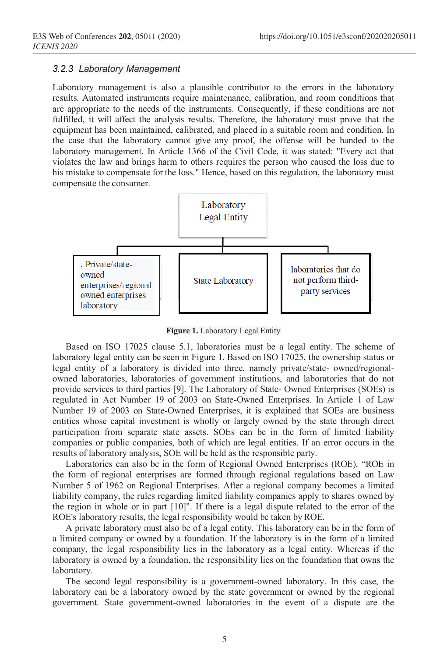#### *3.2.3 Laboratory Management*

Laboratory management is also a plausible contributor to the errors in the laboratory results. Automated instruments require maintenance, calibration, and room conditions that are appropriate to the needs of the instruments. Consequently, if these conditions are not fulfilled, it will affect the analysis results. Therefore, the laboratory must prove that the equipment has been maintained, calibrated, and placed in a suitable room and condition. In the case that the laboratory cannot give any proof, the offense will be handed to the laboratory management. In Article 1366 of the Civil Code, it was stated: "Every act that violates the law and brings harm to others requires the person who caused the loss due to his mistake to compensate for the loss." Hence, based on this regulation, the laboratory must compensate the consumer.



**Figure 1.** Laboratory Legal Entity

Based on ISO 17025 clause 5.1, laboratories must be a legal entity. The scheme of laboratory legal entity can be seen in Figure 1. Based on ISO 17025, the ownership status or legal entity of a laboratory is divided into three, namely private/state- owned/regionalowned laboratories, laboratories of government institutions, and laboratories that do not provide services to third parties [9]. The Laboratory of State- Owned Enterprises (SOEs) is regulated in Act Number 19 of 2003 on State-Owned Enterprises. In Article 1 of Law Number 19 of 2003 on State-Owned Enterprises, it is explained that SOEs are business entities whose capital investment is wholly or largely owned by the state through direct participation from separate state assets. SOEs can be in the form of limited liability companies or public companies, both of which are legal entities. If an error occurs in the results of laboratory analysis, SOE will be held as the responsible party.

Laboratories can also be in the form of Regional Owned Enterprises (ROE). "ROE in the form of regional enterprises are formed through regional regulations based on Law Number 5 of 1962 on Regional Enterprises. After a regional company becomes a limited liability company, the rules regarding limited liability companies apply to shares owned by the region in whole or in part [10]". If there is a legal dispute related to the error of the ROE's laboratory results, the legal responsibility would be taken by ROE.

A private laboratory must also be of a legal entity. This laboratory can be in the form of a limited company or owned by a foundation. If the laboratory is in the form of a limited company, the legal responsibility lies in the laboratory as a legal entity. Whereas if the laboratory is owned by a foundation, the responsibility lies on the foundation that owns the laboratory.

The second legal responsibility is a government-owned laboratory. In this case, the laboratory can be a laboratory owned by the state government or owned by the regional government. State government-owned laboratories in the event of a dispute are the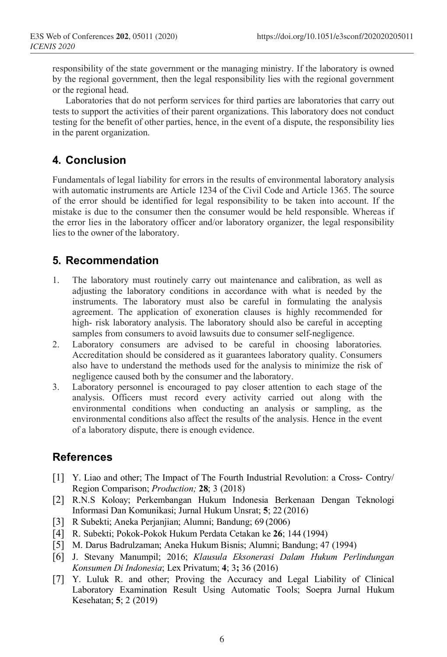responsibility of the state government or the managing ministry. If the laboratory is owned by the regional government, then the legal responsibility lies with the regional government or the regional head.

Laboratories that do not perform services for third parties are laboratories that carry out tests to support the activities of their parent organizations. This laboratory does not conduct testing for the benefit of other parties, hence, in the event of a dispute, the responsibility lies in the parent organization.

# **4. Conclusion**

Fundamentals of legal liability for errors in the results of environmental laboratory analysis with automatic instruments are Article 1234 of the Civil Code and Article 1365. The source of the error should be identified for legal responsibility to be taken into account. If the mistake is due to the consumer then the consumer would be held responsible. Whereas if the error lies in the laboratory officer and/or laboratory organizer, the legal responsibility lies to the owner of the laboratory.

# **5. Recommendation**

- 1. The laboratory must routinely carry out maintenance and calibration, as well as adjusting the laboratory conditions in accordance with what is needed by the instruments. The laboratory must also be careful in formulating the analysis agreement. The application of exoneration clauses is highly recommended for high- risk laboratory analysis. The laboratory should also be careful in accepting samples from consumers to avoid lawsuits due to consumer self-negligence.
- 2. Laboratory consumers are advised to be careful in choosing laboratories. Accreditation should be considered as it guarantees laboratory quality. Consumers also have to understand the methods used for the analysis to minimize the risk of negligence caused both by the consumer and the laboratory.
- 3. Laboratory personnel is encouraged to pay closer attention to each stage of the analysis. Officers must record every activity carried out along with the environmental conditions when conducting an analysis or sampling, as the environmental conditions also affect the results of the analysis. Hence in the event of a laboratory dispute, there is enough evidence.

# **References**

- [1] Y. Liao and other; The Impact of The Fourth Industrial Revolution: a Cross- Contry/ Region Comparison; *Production;* **28**; 3 (2018)
- [2] R.N.S Koloay; Perkembangan Hukum Indonesia Berkenaan Dengan Teknologi Informasi Dan Komunikasi; Jurnal Hukum Unsrat; **5**; 22 (2016)
- [3] R Subekti; Aneka Perjanjian; Alumni; Bandung; 69 (2006)
- [4] R. Subekti; Pokok-Pokok Hukum Perdata Cetakan ke **26**; 144 (1994)
- [5] M. Darus Badrulzaman; Aneka Hukum Bisnis; Alumni; Bandung; 47 (1994)
- [6] J. Stevany Manumpil; 2016; *Klausula Eksonerasi Dalam Hukum Perlindungan Konsumen Di Indonesia*; Lex Privatum; **4**; 3**;** 36 (2016)
- [7] Y. Luluk R. and other; Proving the Accuracy and Legal Liability of Clinical Laboratory Examination Result Using Automatic Tools; Soepra Jurnal Hukum Kesehatan; **5**; 2 (2019)